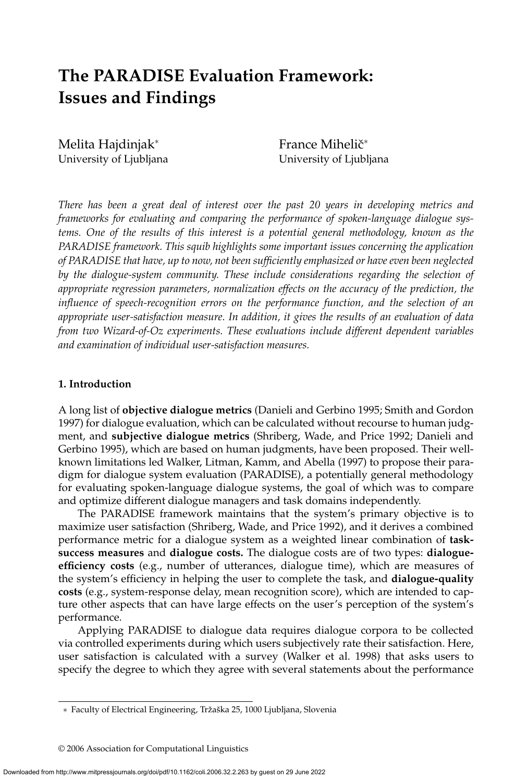# **The PARADISE Evaluation Framework: Issues and Findings**

Melita Hajdinjak<sup>∗</sup> University of Ljubljana France Mihelič<sup>∗</sup> University of Ljubljana

*There has been a great deal of interest over the past 20 years in developing metrics and frameworks for evaluating and comparing the performance of spoken-language dialogue systems. One of the results of this interest is a potential general methodology, known as the PARADISE framework. This squib highlights some important issues concerning the application of PARADISE that have, up to now, not been sufficiently emphasized or have even been neglected by the dialogue-system community. These include considerations regarding the selection of appropriate regression parameters, normalization effects on the accuracy of the prediction, the influence of speech-recognition errors on the performance function, and the selection of an appropriate user-satisfaction measure. In addition, it gives the results of an evaluation of data from two Wizard-of-Oz experiments. These evaluations include different dependent variables and examination of individual user-satisfaction measures.*

#### **1. Introduction**

A long list of **objective dialogue metrics** (Danieli and Gerbino 1995; Smith and Gordon 1997) for dialogue evaluation, which can be calculated without recourse to human judgment, and **subjective dialogue metrics** (Shriberg, Wade, and Price 1992; Danieli and Gerbino 1995), which are based on human judgments, have been proposed. Their wellknown limitations led Walker, Litman, Kamm, and Abella (1997) to propose their paradigm for dialogue system evaluation (PARADISE), a potentially general methodology for evaluating spoken-language dialogue systems, the goal of which was to compare and optimize different dialogue managers and task domains independently.

The PARADISE framework maintains that the system's primary objective is to maximize user satisfaction (Shriberg, Wade, and Price 1992), and it derives a combined performance metric for a dialogue system as a weighted linear combination of **tasksuccess measures** and **dialogue costs.** The dialogue costs are of two types: **dialogueefficiency costs** (e.g., number of utterances, dialogue time), which are measures of the system's efficiency in helping the user to complete the task, and **dialogue-quality costs** (e.g., system-response delay, mean recognition score), which are intended to capture other aspects that can have large effects on the user's perception of the system's performance.

Applying PARADISE to dialogue data requires dialogue corpora to be collected via controlled experiments during which users subjectively rate their satisfaction. Here, user satisfaction is calculated with a survey (Walker et al. 1998) that asks users to specify the degree to which they agree with several statements about the performance

<sup>∗</sup> Faculty of Electrical Engineering, Trzaˇ ska 25, 1000 Ljubljana, Slovenia ˇ

<sup>© 2006</sup> Association for Computational Linguistics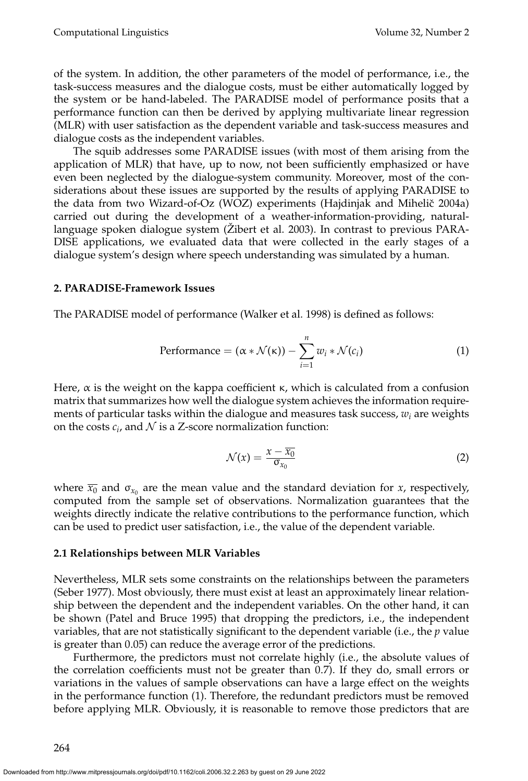of the system. In addition, the other parameters of the model of performance, i.e., the task-success measures and the dialogue costs, must be either automatically logged by the system or be hand-labeled. The PARADISE model of performance posits that a performance function can then be derived by applying multivariate linear regression (MLR) with user satisfaction as the dependent variable and task-success measures and dialogue costs as the independent variables.

The squib addresses some PARADISE issues (with most of them arising from the application of MLR) that have, up to now, not been sufficiently emphasized or have even been neglected by the dialogue-system community. Moreover, most of the considerations about these issues are supported by the results of applying PARADISE to the data from two Wizard-of-Oz (WOZ) experiments (Hajdinjak and Mihelič 2004a) carried out during the development of a weather-information-providing, naturallanguage spoken dialogue system (Žibert et al. 2003). In contrast to previous PARA-DISE applications, we evaluated data that were collected in the early stages of a dialogue system's design where speech understanding was simulated by a human.

#### **2. PARADISE-Framework Issues**

The PARADISE model of performance (Walker et al. 1998) is defined as follows:

$$
Performance = (\alpha * \mathcal{N}(\kappa)) - \sum_{i=1}^{n} w_i * \mathcal{N}(c_i)
$$
 (1)

Here,  $\alpha$  is the weight on the kappa coefficient  $\kappa$ , which is calculated from a confusion matrix that summarizes how well the dialogue system achieves the information requirements of particular tasks within the dialogue and measures task success,  $w_i$  are weights on the costs  $c_i$ , and  $N$  is a Z-score normalization function:

$$
\mathcal{N}(x) = \frac{x - \overline{x_0}}{\sigma_{x_0}}
$$
 (2)

where  $\overline{x_0}$  and  $\sigma_{x_0}$  are the mean value and the standard deviation for *x*, respectively, computed from the sample set of observations. Normalization guarantees that the weights directly indicate the relative contributions to the performance function, which can be used to predict user satisfaction, i.e., the value of the dependent variable.

#### **2.1 Relationships between MLR Variables**

Nevertheless, MLR sets some constraints on the relationships between the parameters (Seber 1977). Most obviously, there must exist at least an approximately linear relationship between the dependent and the independent variables. On the other hand, it can be shown (Patel and Bruce 1995) that dropping the predictors, i.e., the independent variables, that are not statistically significant to the dependent variable (i.e., the *p* value is greater than 0.05) can reduce the average error of the predictions.

Furthermore, the predictors must not correlate highly (i.e., the absolute values of the correlation coefficients must not be greater than 0.7). If they do, small errors or variations in the values of sample observations can have a large effect on the weights in the performance function (1). Therefore, the redundant predictors must be removed before applying MLR. Obviously, it is reasonable to remove those predictors that are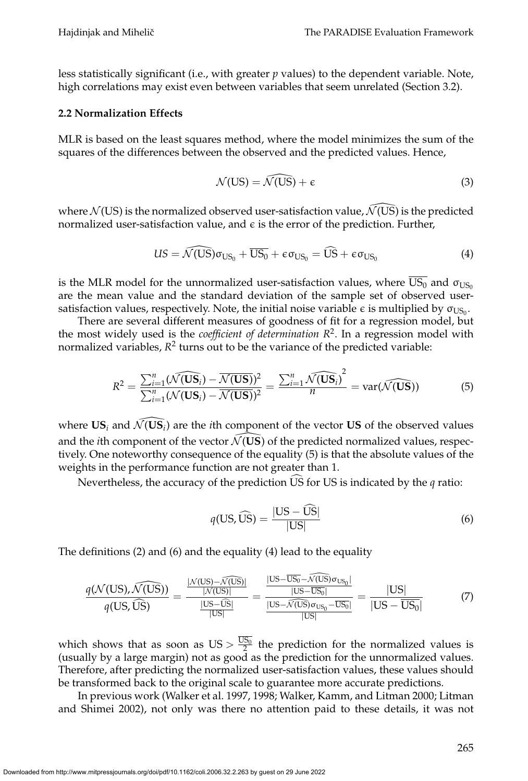less statistically significant (i.e., with greater *p* values) to the dependent variable. Note, high correlations may exist even between variables that seem unrelated (Section 3.2).

## **2.2 Normalization Effects**

MLR is based on the least squares method, where the model minimizes the sum of the squares of the differences between the observed and the predicted values. Hence,

$$
\mathcal{N}(US) = \widehat{\mathcal{N}(US)} + \epsilon \tag{3}
$$

where  $\mathcal{N}(US)$  is the normalized observed user-satisfaction value,  $\mathcal{N}(US)$  is the predicted normalized user-satisfaction value, and  $\epsilon$  is the error of the prediction. Further,

$$
US = \widehat{\mathcal{N}(US)} \sigma_{US_0} + \overline{US_0} + \varepsilon \sigma_{US_0} = \widehat{US} + \varepsilon \sigma_{US_0}
$$
\n(4)

is the MLR model for the unnormalized user-satisfaction values, where  $\overline{US_0}$  and  $\sigma_{US_0}$ are the mean value and the standard deviation of the sample set of observed usersatisfaction values, respectively. Note, the initial noise variable  $\epsilon$  is multiplied by  $\sigma_{\text{US}_0}$ .

There are several different measures of goodness of fit for a regression model, but the most widely used is the *coefficient of determination*  $R<sup>2</sup>$ . In a regression model with normalized variables,  $R^2$  turns out to be the variance of the predicted variable:

$$
R^{2} = \frac{\sum_{i=1}^{n} (\widehat{\mathcal{N}(\mathbf{US}_{i})} - \overline{\mathcal{N}(\mathbf{US})})^{2}}{\sum_{i=1}^{n} (\mathcal{N}(\mathbf{US}_{i}) - \overline{\mathcal{N}(\mathbf{US})})^{2}} = \frac{\sum_{i=1}^{n} \widehat{\mathcal{N}(\mathbf{US}_{i})}^{2}}{n} = \text{var}(\widehat{\mathcal{N}(\mathbf{US})})
$$
(5)

where  $US_i$  and  $\bar{\mathcal{N}}(US_i)$  are the *i*th component of the vector US of the observed values and the *i*th component of the vector  $\mathcal{N}$ (US) of the predicted normalized values, respectively. One noteworthy consequence of the equality (5) is that the absolute values of the weights in the performance function are not greater than 1.

Nevertheless, the accuracy of the prediction US for US is indicated by the  $q$  ratio:

$$
q(\text{US}, \widehat{\text{US}}) = \frac{|\text{US} - \widehat{\text{US}}|}{|\text{US}|}
$$
(6)

The definitions (2) and (6) and the equality (4) lead to the equality

$$
\frac{q(\mathcal{N}(US),\widehat{\mathcal{N}(US)})}{q(US,\widehat{US})} = \frac{\frac{|\mathcal{N}(US) - \widehat{\mathcal{N}(US)}|}{|\mathcal{N}(US)|}}{\frac{|\mathrm{US}-\widehat{\mathrm{US}}|}{|\mathrm{US}|}} = \frac{\frac{|\mathrm{US}-\overline{\mathrm{US}}_0 - \widehat{\mathcal{N}(US)}\sigma_{\mathrm{US}_0}|}{|\mathrm{US}-\overline{\mathrm{US}}_0|}}{|\mathrm{US}-\overline{\mathrm{US}}_0|} = \frac{|\mathrm{US}|}{|\mathrm{US}-\overline{\mathrm{US}}_0|} \tag{7}
$$

which shows that as soon as  $US > \frac{US_0}{2}$  the prediction for the normalized values is (usually by a large margin) not as good as the prediction for the unnormalized values. Therefore, after predicting the normalized user-satisfaction values, these values should be transformed back to the original scale to guarantee more accurate predictions.

In previous work (Walker et al. 1997, 1998; Walker, Kamm, and Litman 2000; Litman and Shimei 2002), not only was there no attention paid to these details, it was not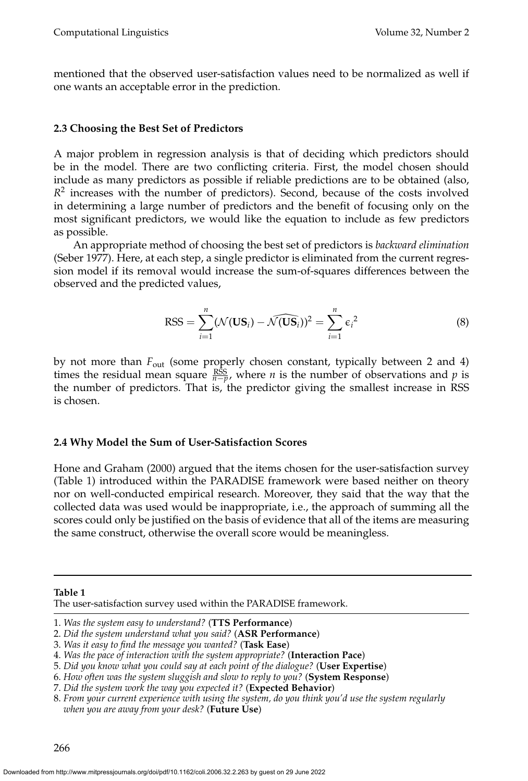mentioned that the observed user-satisfaction values need to be normalized as well if one wants an acceptable error in the prediction.

## **2.3 Choosing the Best Set of Predictors**

A major problem in regression analysis is that of deciding which predictors should be in the model. There are two conflicting criteria. First, the model chosen should include as many predictors as possible if reliable predictions are to be obtained (also, *R*<sup>2</sup> increases with the number of predictors). Second, because of the costs involved in determining a large number of predictors and the benefit of focusing only on the most significant predictors, we would like the equation to include as few predictors as possible.

An appropriate method of choosing the best set of predictors is *backward elimination* (Seber 1977). Here, at each step, a single predictor is eliminated from the current regression model if its removal would increase the sum-of-squares differences between the observed and the predicted values,

$$
RSS = \sum_{i=1}^{n} (\mathcal{N}(\mathbf{US}_i) - \widehat{\mathcal{N}(\mathbf{US}_i)})^2 = \sum_{i=1}^{n} \epsilon_i^2
$$
 (8)

by not more than *F*out (some properly chosen constant, typically between 2 and 4) times the residual mean square  $\frac{RSS}{n-p}$ , where *n* is the number of observations and *p* is the number of predictors. That is, the predictor giving the smallest increase in RSS is chosen.

## **2.4 Why Model the Sum of User-Satisfaction Scores**

Hone and Graham (2000) argued that the items chosen for the user-satisfaction survey (Table 1) introduced within the PARADISE framework were based neither on theory nor on well-conducted empirical research. Moreover, they said that the way that the collected data was used would be inappropriate, i.e., the approach of summing all the scores could only be justified on the basis of evidence that all of the items are measuring the same construct, otherwise the overall score would be meaningless.

**Table 1**

The user-satisfaction survey used within the PARADISE framework.

6. *How often was the system sluggish and slow to reply to you?* (**System Response**)

<sup>1.</sup> *Was the system easy to understand?* (**TTS Performance**)

<sup>2.</sup> *Did the system understand what you said?* (**ASR Performance**)

<sup>3.</sup> *Was it easy to find the message you wanted?* (**Task Ease**)

<sup>4.</sup> *Was the pace of interaction with the system appropriate?* (**Interaction Pace**)

<sup>5.</sup> *Did you know what you could say at each point of the dialogue?* (**User Expertise**)

<sup>7.</sup> *Did the system work the way you expected it?* (**Expected Behavior**)

<sup>8.</sup> *From your current experience with using the system, do you think you'd use the system regularly when you are away from your desk?* (**Future Use**)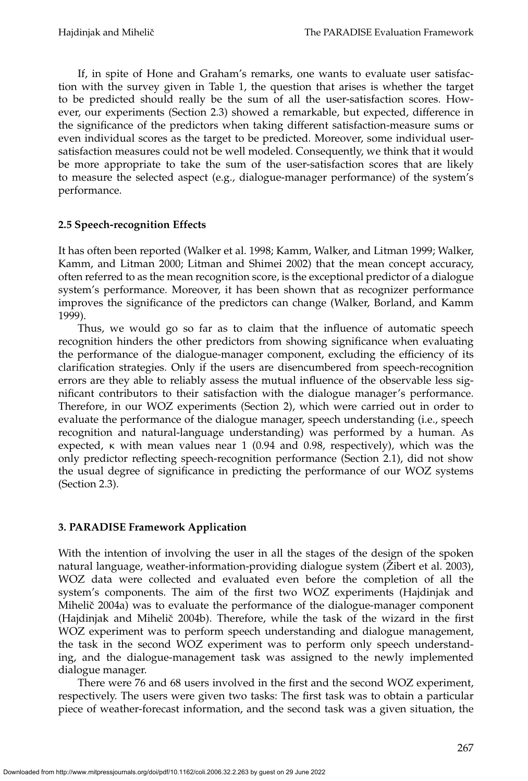If, in spite of Hone and Graham's remarks, one wants to evaluate user satisfaction with the survey given in Table 1, the question that arises is whether the target to be predicted should really be the sum of all the user-satisfaction scores. However, our experiments (Section 2.3) showed a remarkable, but expected, difference in the significance of the predictors when taking different satisfaction-measure sums or even individual scores as the target to be predicted. Moreover, some individual usersatisfaction measures could not be well modeled. Consequently, we think that it would be more appropriate to take the sum of the user-satisfaction scores that are likely to measure the selected aspect (e.g., dialogue-manager performance) of the system's performance.

# **2.5 Speech-recognition Effects**

It has often been reported (Walker et al. 1998; Kamm, Walker, and Litman 1999; Walker, Kamm, and Litman 2000; Litman and Shimei 2002) that the mean concept accuracy, often referred to as the mean recognition score, is the exceptional predictor of a dialogue system's performance. Moreover, it has been shown that as recognizer performance improves the significance of the predictors can change (Walker, Borland, and Kamm 1999).

Thus, we would go so far as to claim that the influence of automatic speech recognition hinders the other predictors from showing significance when evaluating the performance of the dialogue-manager component, excluding the efficiency of its clarification strategies. Only if the users are disencumbered from speech-recognition errors are they able to reliably assess the mutual influence of the observable less significant contributors to their satisfaction with the dialogue manager's performance. Therefore, in our WOZ experiments (Section 2), which were carried out in order to evaluate the performance of the dialogue manager, speech understanding (i.e., speech recognition and natural-language understanding) was performed by a human. As expected,  $\kappa$  with mean values near 1 (0.94 and 0.98, respectively), which was the only predictor reflecting speech-recognition performance (Section 2.1), did not show the usual degree of significance in predicting the performance of our WOZ systems (Section 2.3).

# **3. PARADISE Framework Application**

With the intention of involving the user in all the stages of the design of the spoken natural language, weather-information-providing dialogue system (Zibert et al. 2003), WOZ data were collected and evaluated even before the completion of all the system's components. The aim of the first two WOZ experiments (Hajdinjak and Mihelič 2004a) was to evaluate the performance of the dialogue-manager component (Hajdinjak and Mihelič 2004b). Therefore, while the task of the wizard in the first WOZ experiment was to perform speech understanding and dialogue management, the task in the second WOZ experiment was to perform only speech understanding, and the dialogue-management task was assigned to the newly implemented dialogue manager.

There were 76 and 68 users involved in the first and the second WOZ experiment, respectively. The users were given two tasks: The first task was to obtain a particular piece of weather-forecast information, and the second task was a given situation, the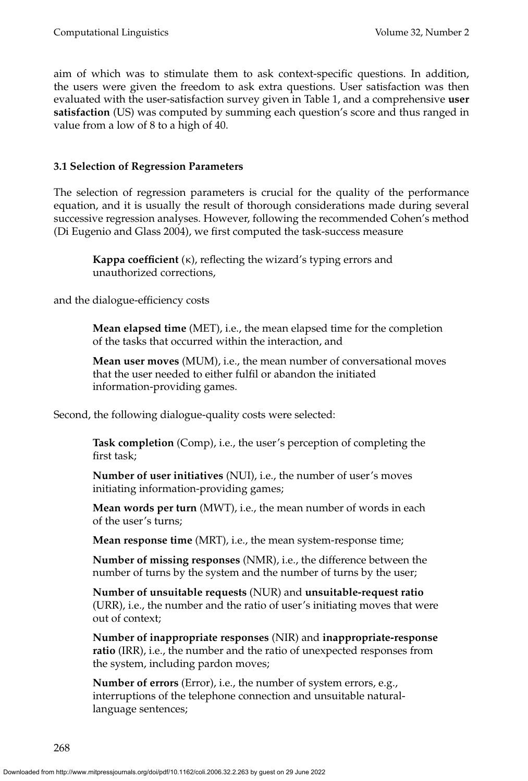aim of which was to stimulate them to ask context-specific questions. In addition, the users were given the freedom to ask extra questions. User satisfaction was then evaluated with the user-satisfaction survey given in Table 1, and a comprehensive **user satisfaction** (US) was computed by summing each question's score and thus ranged in value from a low of 8 to a high of 40.

# **3.1 Selection of Regression Parameters**

The selection of regression parameters is crucial for the quality of the performance equation, and it is usually the result of thorough considerations made during several successive regression analyses. However, following the recommended Cohen's method (Di Eugenio and Glass 2004), we first computed the task-success measure

**Kappa coefficient** (κ), reflecting the wizard's typing errors and unauthorized corrections,

and the dialogue-efficiency costs

**Mean elapsed time** (MET), i.e., the mean elapsed time for the completion of the tasks that occurred within the interaction, and

**Mean user moves** (MUM), i.e., the mean number of conversational moves that the user needed to either fulfil or abandon the initiated information-providing games.

Second, the following dialogue-quality costs were selected:

**Task completion** (Comp), i.e., the user's perception of completing the first task;

**Number of user initiatives** (NUI), i.e., the number of user's moves initiating information-providing games;

**Mean words per turn** (MWT), i.e., the mean number of words in each of the user's turns;

**Mean response time** (MRT), i.e., the mean system-response time;

**Number of missing responses** (NMR), i.e., the difference between the number of turns by the system and the number of turns by the user;

**Number of unsuitable requests** (NUR) and **unsuitable-request ratio** (URR), i.e., the number and the ratio of user's initiating moves that were out of context;

**Number of inappropriate responses** (NIR) and **inappropriate-response ratio** (IRR), i.e., the number and the ratio of unexpected responses from the system, including pardon moves;

**Number of errors** (Error), i.e., the number of system errors, e.g., interruptions of the telephone connection and unsuitable naturallanguage sentences;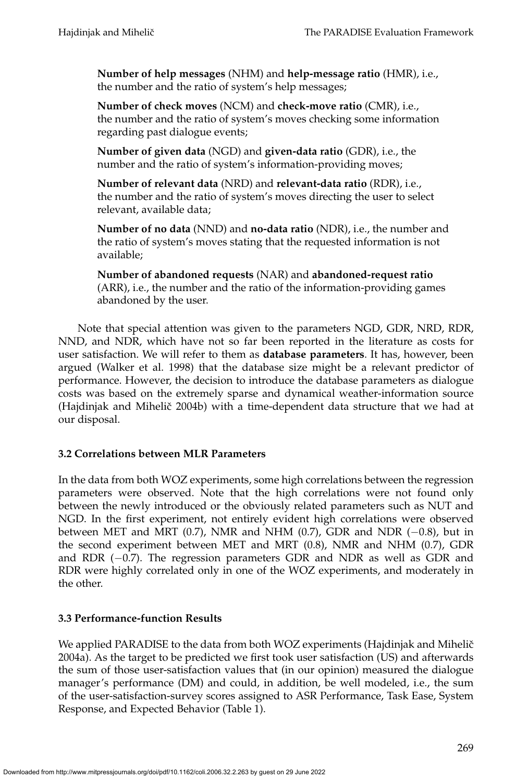**Number of help messages** (NHM) and **help-message ratio** (HMR), i.e., the number and the ratio of system's help messages;

**Number of check moves** (NCM) and **check-move ratio** (CMR), i.e., the number and the ratio of system's moves checking some information regarding past dialogue events;

**Number of given data** (NGD) and **given-data ratio** (GDR), i.e., the number and the ratio of system's information-providing moves;

**Number of relevant data** (NRD) and **relevant-data ratio** (RDR), i.e., the number and the ratio of system's moves directing the user to select relevant, available data;

**Number of no data** (NND) and **no-data ratio** (NDR), i.e., the number and the ratio of system's moves stating that the requested information is not available;

**Number of abandoned requests** (NAR) and **abandoned-request ratio** (ARR), i.e., the number and the ratio of the information-providing games abandoned by the user.

Note that special attention was given to the parameters NGD, GDR, NRD, RDR, NND, and NDR, which have not so far been reported in the literature as costs for user satisfaction. We will refer to them as **database parameters**. It has, however, been argued (Walker et al. 1998) that the database size might be a relevant predictor of performance. However, the decision to introduce the database parameters as dialogue costs was based on the extremely sparse and dynamical weather-information source (Hajdinjak and Mihelič 2004b) with a time-dependent data structure that we had at our disposal.

# **3.2 Correlations between MLR Parameters**

In the data from both WOZ experiments, some high correlations between the regression parameters were observed. Note that the high correlations were not found only between the newly introduced or the obviously related parameters such as NUT and NGD. In the first experiment, not entirely evident high correlations were observed between MET and MRT (0.7), NMR and NHM (0.7), GDR and NDR (−0.8), but in the second experiment between MET and MRT (0.8), NMR and NHM (0.7), GDR and RDR (−0.7). The regression parameters GDR and NDR as well as GDR and RDR were highly correlated only in one of the WOZ experiments, and moderately in the other.

# **3.3 Performance-function Results**

We applied PARADISE to the data from both WOZ experiments (Hajdinjak and Mihelič 2004a). As the target to be predicted we first took user satisfaction (US) and afterwards the sum of those user-satisfaction values that (in our opinion) measured the dialogue manager's performance (DM) and could, in addition, be well modeled, i.e., the sum of the user-satisfaction-survey scores assigned to ASR Performance, Task Ease, System Response, and Expected Behavior (Table 1).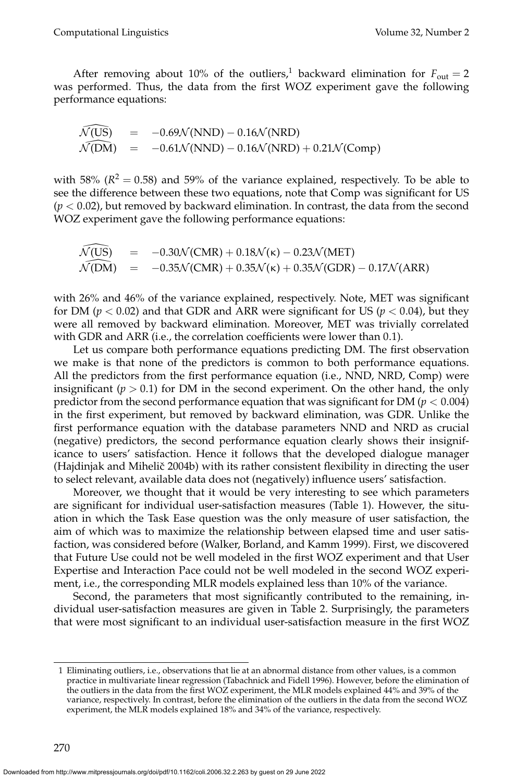After removing about 10% of the outliers,<sup>1</sup> backward elimination for  $F_{\text{out}} = 2$ was performed. Thus, the data from the first WOZ experiment gave the following performance equations:

$$
\widehat{\mathcal{N}(US)} = -0.69\mathcal{N}(NND) - 0.16\mathcal{N}(NRD)
$$
  
\n
$$
\widehat{\mathcal{N}(DM)} = -0.61\mathcal{N}(NND) - 0.16\mathcal{N}(NRD) + 0.21\mathcal{N}(Comp)
$$

with 58%  $(R^2 = 0.58)$  and 59% of the variance explained, respectively. To be able to see the difference between these two equations, note that Comp was significant for US  $(p < 0.02)$ , but removed by backward elimination. In contrast, the data from the second WOZ experiment gave the following performance equations:

$$
\widehat{\mathcal{N}(US)} = -0.30 \mathcal{N}(CMR) + 0.18 \mathcal{N}(\kappa) - 0.23 \mathcal{N}(MET) \n\widehat{\mathcal{N}(DM)} = -0.35 \mathcal{N}(CMR) + 0.35 \mathcal{N}(\kappa) + 0.35 \mathcal{N}(GDR) - 0.17 \mathcal{N}(ARR)
$$

with 26% and 46% of the variance explained, respectively. Note, MET was significant for DM ( $p < 0.02$ ) and that GDR and ARR were significant for US ( $p < 0.04$ ), but they were all removed by backward elimination. Moreover, MET was trivially correlated with GDR and ARR (i.e., the correlation coefficients were lower than 0.1).

Let us compare both performance equations predicting DM. The first observation we make is that none of the predictors is common to both performance equations. All the predictors from the first performance equation (i.e., NND, NRD, Comp) were insignificant ( $p > 0.1$ ) for DM in the second experiment. On the other hand, the only predictor from the second performance equation that was significant for DM ( $p < 0.004$ ) in the first experiment, but removed by backward elimination, was GDR. Unlike the first performance equation with the database parameters NND and NRD as crucial (negative) predictors, the second performance equation clearly shows their insignificance to users' satisfaction. Hence it follows that the developed dialogue manager (Hajdinjak and Mihelič 2004b) with its rather consistent flexibility in directing the user to select relevant, available data does not (negatively) influence users' satisfaction.

Moreover, we thought that it would be very interesting to see which parameters are significant for individual user-satisfaction measures (Table 1). However, the situation in which the Task Ease question was the only measure of user satisfaction, the aim of which was to maximize the relationship between elapsed time and user satisfaction, was considered before (Walker, Borland, and Kamm 1999). First, we discovered that Future Use could not be well modeled in the first WOZ experiment and that User Expertise and Interaction Pace could not be well modeled in the second WOZ experiment, i.e., the corresponding MLR models explained less than 10% of the variance.

Second, the parameters that most significantly contributed to the remaining, individual user-satisfaction measures are given in Table 2. Surprisingly, the parameters that were most significant to an individual user-satisfaction measure in the first WOZ

<sup>1</sup> Eliminating outliers, i.e., observations that lie at an abnormal distance from other values, is a common practice in multivariate linear regression (Tabachnick and Fidell 1996). However, before the elimination of the outliers in the data from the first WOZ experiment, the MLR models explained 44% and 39% of the variance, respectively. In contrast, before the elimination of the outliers in the data from the second WOZ experiment, the MLR models explained 18% and 34% of the variance, respectively.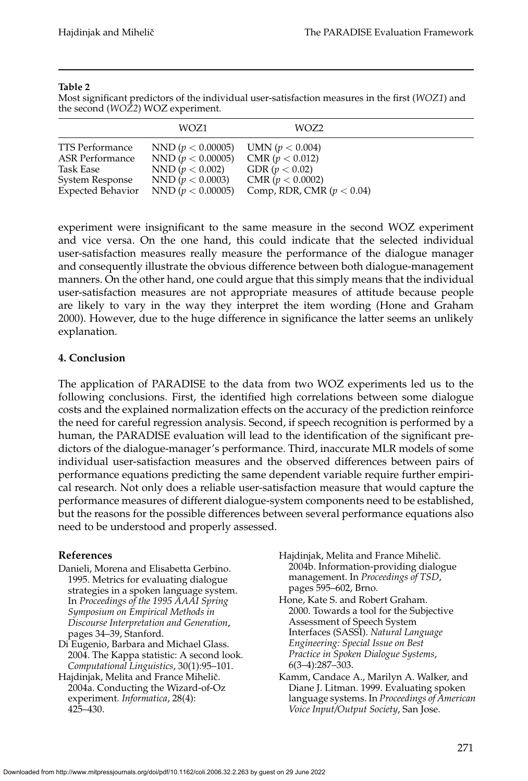#### **Table 2**

Most significant predictors of the individual user-satisfaction measures in the first (*WOZ1*) and the second (*WOZ2*) WOZ experiment.

|                          | WOZ1                  | WOZ2                        |  |
|--------------------------|-----------------------|-----------------------------|--|
| TTS Performance          | NND ( $p < 0.00005$ ) | UMN ( $p < 0.004$ )         |  |
| <b>ASR Performance</b>   | NND ( $p < 0.00005$ ) | CMR (p < 0.012)             |  |
| Task Ease                | NND ( $p < 0.002$ )   | GDR ( $p < 0.02$ )          |  |
| System Response          | NND ( $p < 0.0003$ )  | CMR (p < 0.0002)            |  |
| <b>Expected Behavior</b> | NND ( $p < 0.00005$ ) | Comp, RDR, CMR $(p < 0.04)$ |  |

experiment were insignificant to the same measure in the second WOZ experiment and vice versa. On the one hand, this could indicate that the selected individual user-satisfaction measures really measure the performance of the dialogue manager and consequently illustrate the obvious difference between both dialogue-management manners. On the other hand, one could argue that this simply means that the individual user-satisfaction measures are not appropriate measures of attitude because people are likely to vary in the way they interpret the item wording (Hone and Graham 2000). However, due to the huge difference in significance the latter seems an unlikely explanation.

## **4. Conclusion**

The application of PARADISE to the data from two WOZ experiments led us to the following conclusions. First, the identified high correlations between some dialogue costs and the explained normalization effects on the accuracy of the prediction reinforce the need for careful regression analysis. Second, if speech recognition is performed by a human, the PARADISE evaluation will lead to the identification of the significant predictors of the dialogue-manager's performance. Third, inaccurate MLR models of some individual user-satisfaction measures and the observed differences between pairs of performance equations predicting the same dependent variable require further empirical research. Not only does a reliable user-satisfaction measure that would capture the performance measures of different dialogue-system components need to be established, but the reasons for the possible differences between several performance equations also need to be understood and properly assessed.

### **References**

- Danieli, Morena and Elisabetta Gerbino. 1995. Metrics for evaluating dialogue strategies in a spoken language system. In *Proceedings of the 1995 AAAI Spring Symposium on Empirical Methods in Discourse Interpretation and Generation*, pages 34–39, Stanford.
- Di Eugenio, Barbara and Michael Glass. 2004. The Kappa statistic: A second look. *Computational Linguistics*, 30(1):95–101.
- Hajdinjak, Melita and France Mihelič. 2004a. Conducting the Wizard-of-Oz experiment. *Informatica*, 28(4): 425–430.
- Hajdinjak, Melita and France Mihelič. 2004b. Information-providing dialogue management. In *Proceedings of TSD*, pages 595–602, Brno.
- Hone, Kate S. and Robert Graham. 2000. Towards a tool for the Subjective Assessment of Speech System Interfaces (SASSI). *Natural Language Engineering: Special Issue on Best Practice in Spoken Dialogue Systems*, 6(3–4):287–303.
- Kamm, Candace A., Marilyn A. Walker, and Diane J. Litman. 1999. Evaluating spoken language systems. In *Proceedings of American Voice Input/Output Society*, San Jose.